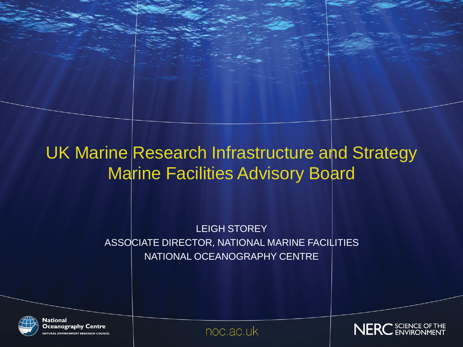### UK Marine Research Infrastructure and Strategy Marine Facilities Advisory Board

LEIGH STOREY ASSOCIATE DIRECTOR, NATIONAL MARINE FACILITIES NATIONAL OCEANOGRAPHY CENTRE



**National Oceanography Centre ATURAL ENVIRONMENT RESEARCH COUNCIL** 

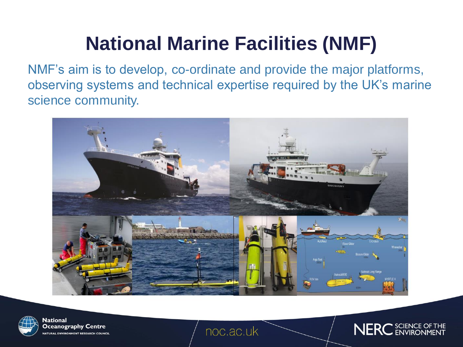# **National Marine Facilities (NMF)**

NMF's aim is to develop, co-ordinate and provide the major platforms, observing systems and technical expertise required by the UK's marine science community.





**National** Oceanography Centre **ATURAL ENVIRONMENT RESEARCH COUNCIL** 

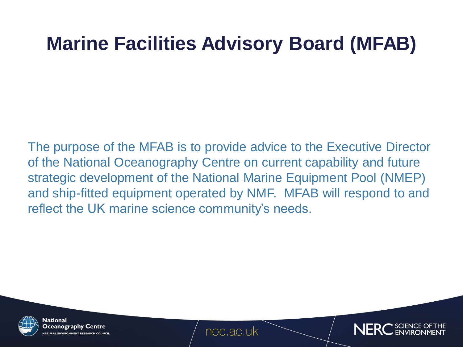### **Marine Facilities Advisory Board (MFAB)**

The purpose of the MFAB is to provide advice to the Executive Director of the National Oceanography Centre on current capability and future strategic development of the National Marine Equipment Pool (NMEP) and ship-fitted equipment operated by NMF. MFAB will respond to and reflect the UK marine science community's needs.



National Oceanography Centre TURAL ENVIRONMENT RESEARCH COUNCI

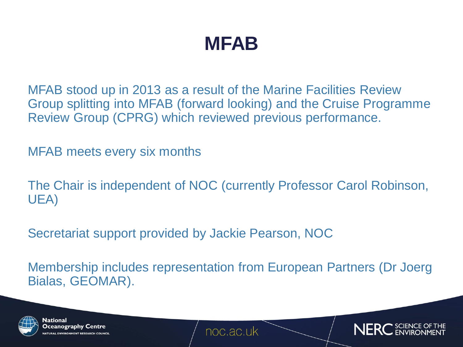### **MFAB**

MFAB stood up in 2013 as a result of the Marine Facilities Review Group splitting into MFAB (forward looking) and the Cruise Programme Review Group (CPRG) which reviewed previous performance.

MFAB meets every six months

The Chair is independent of NOC (currently Professor Carol Robinson, UEA)

Secretariat support provided by Jackie Pearson, NOC

Membership includes representation from European Partners (Dr Joerg Bialas, GEOMAR).



National Oceanography Centre **RAL ENVIRONMENT RESEARCH COL** 

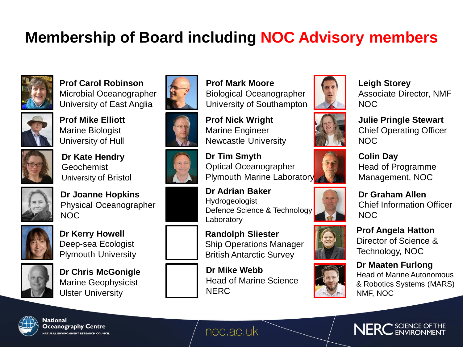### **Membership of Board including NOC Advisory members**



### **Prof Carol Robinson**

Microbial Oceanographer University of East Anglia



**Prof Mike Elliott** Marine Biologist University of Hull



**Dr Kate Hendry** Geochemist University of Bristol



**Dr Joanne Hopkins** Physical Oceanographer NOC



**Dr Kerry Howell** Deep-sea Ecologist Plymouth University



**Dr Chris McGonigle** Marine Geophysicist Ulster University

















**Prof Nick Wright** Marine Engineer Newcastle University

**Dr Tim Smyth** Optical Oceanographer Plymouth Marine Laboratory

**Dr Adrian Baker** Hydrogeologist Defence Science & Technology Laboratory

**Randolph Sliester** Ship Operations Manager British Antarctic Survey

**Dr Mike Webb** Head of Marine Science **NERC** 



**Leigh Storey** Associate Director, NMF NOC



**Julie Pringle Stewart** Chief Operating Officer NOC



**Colin Day** Head of Programme Management, NOC

**Dr Graham Allen** Chief Information Officer NOC



NMF, NOC



Technology, NOC **Dr Maaten Furlong** Head of Marine Autonomous

& Robotics Systems (MARS)



National Oceanography Centre **ATURAL ENVIRONMENT RESEARCH COUNCIL**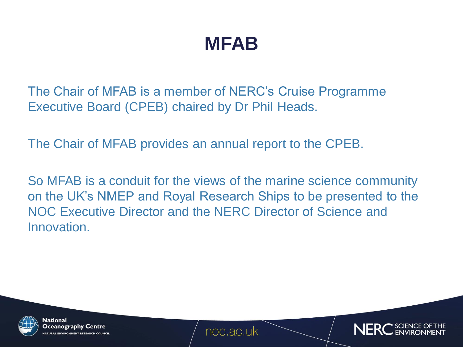### **MFAB**

The Chair of MFAB is a member of NERC's Cruise Programme Executive Board (CPEB) chaired by Dr Phil Heads.

The Chair of MFAB provides an annual report to the CPEB.

So MFAB is a conduit for the views of the marine science community on the UK's NMEP and Royal Research Ships to be presented to the NOC Executive Director and the NERC Director of Science and Innovation.



National Oceanography Centre **URAL ENVIRONMENT RESEARCH COL** 

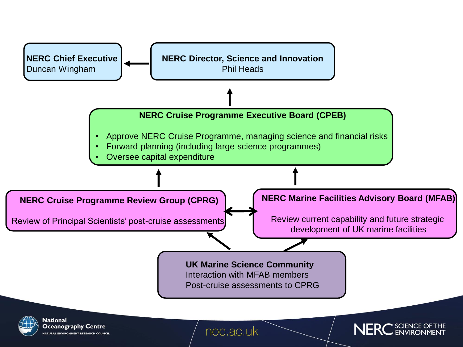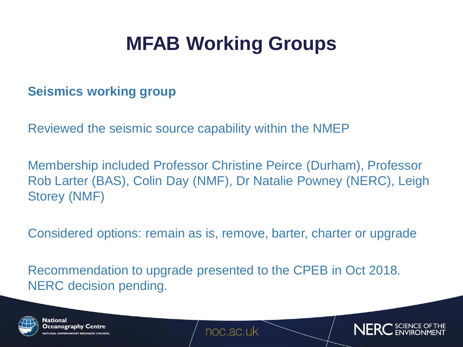# **MFAB Working Groups**

#### **Seismics working group**

Reviewed the seismic source capability within the NMEP

Membership included Professor Christine Peirce (Durham), Professor Rob Larter (BAS), Colin Day (NMF), Dr Natalie Powney (NERC), Leigh Storey (NMF)

Considered options: remain as is, remove, barter, charter or upgrade

Recommendation to upgrade presented to the CPEB in Oct 2018. NERC decision pending.



National Oceanography Centre **AL ENVIRONMENT RESEARCH CO** 

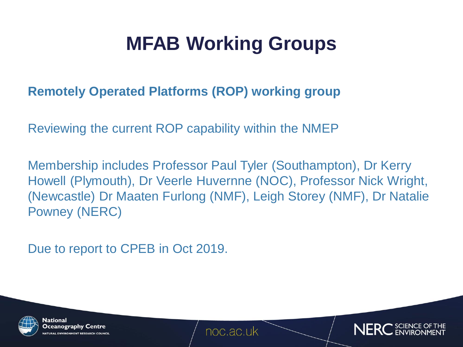# **MFAB Working Groups**

### **Remotely Operated Platforms (ROP) working group**

Reviewing the current ROP capability within the NMEP

Membership includes Professor Paul Tyler (Southampton), Dr Kerry Howell (Plymouth), Dr Veerle Huvernne (NOC), Professor Nick Wright, (Newcastle) Dr Maaten Furlong (NMF), Leigh Storey (NMF), Dr Natalie Powney (NERC)

Due to report to CPEB in Oct 2019.



National Oceanography Centre URAL ENVIRONMENT RESEARCH COUNCI

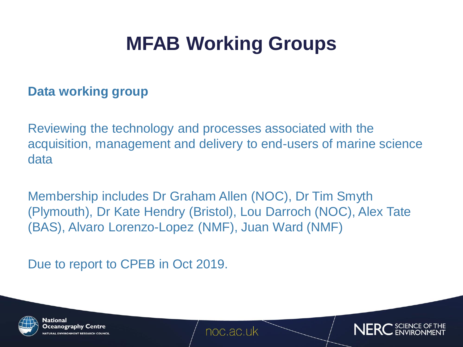# **MFAB Working Groups**

#### **Data working group**

Reviewing the technology and processes associated with the acquisition, management and delivery to end-users of marine science data

Membership includes Dr Graham Allen (NOC), Dr Tim Smyth (Plymouth), Dr Kate Hendry (Bristol), Lou Darroch (NOC), Alex Tate (BAS), Alvaro Lorenzo-Lopez (NMF), Juan Ward (NMF)

Due to report to CPEB in Oct 2019.



National Oceanography Centre **RAL ENVIRONMENT RESEARCH COU** 

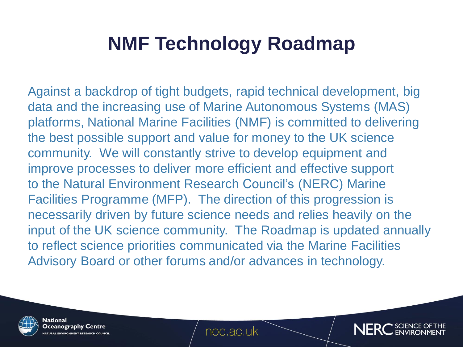Against a backdrop of tight budgets, rapid technical development, big data and the increasing use of Marine Autonomous Systems (MAS) platforms, National Marine Facilities (NMF) is committed to delivering the best possible support and value for money to the UK science community. We will constantly strive to develop equipment and improve processes to deliver more efficient and effective support to the Natural Environment Research Council's (NERC) Marine Facilities Programme (MFP). The direction of this progression is necessarily driven by future science needs and relies heavily on the input of the UK science community. The Roadmap is updated annually to reflect science priorities communicated via the Marine Facilities Advisory Board or other forums and/or advances in technology.



**National** Oceanography Centre URAL ENVIRONMENT RESEARCH COUNCI

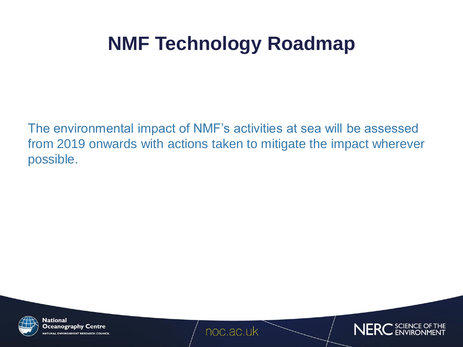The environmental impact of NMF's activities at sea will be assessed from 2019 onwards with actions taken to mitigate the impact wherever possible.



**National** Oceanography Centre **ATURAL ENVIRONMENT RESEARCH COUNCIL** 

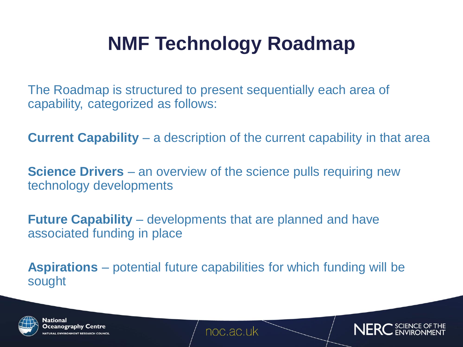The Roadmap is structured to present sequentially each area of capability, categorized as follows:

**Current Capability** – a description of the current capability in that area

**Science Drivers** – an overview of the science pulls requiring new technology developments

**Future Capability** – developments that are planned and have associated funding in place

**Aspirations** – potential future capabilities for which funding will be sought



National Oceanography Centre **RAL ENVIRONMENT RESEARCH CO.** 

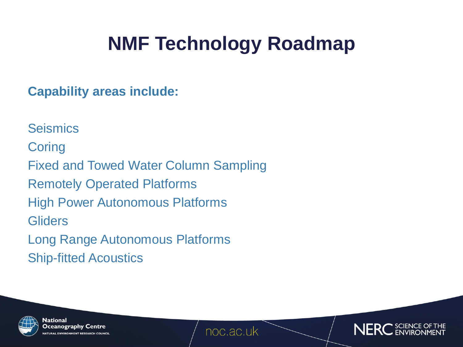**Capability areas include:**

**Seismics Coring** Fixed and Towed Water Column Sampling Remotely Operated Platforms High Power Autonomous Platforms **Gliders** Long Range Autonomous Platforms Ship-fitted Acoustics



**National** Oceanography Centre **ATURAL ENVIRONMENT RESEARCH COUNCI** 

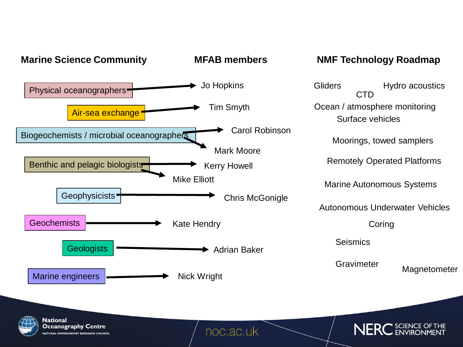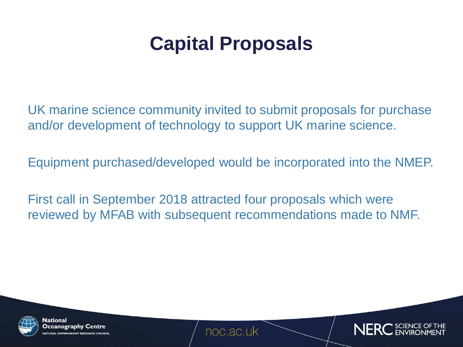### **Capital Proposals**

UK marine science community invited to submit proposals for purchase and/or development of technology to support UK marine science.

Equipment purchased/developed would be incorporated into the NMEP.

First call in September 2018 attracted four proposals which were reviewed by MFAB with subsequent recommendations made to NMF.



National Oceanography Centre **ENVIRONMENT RESEARCH COL** 

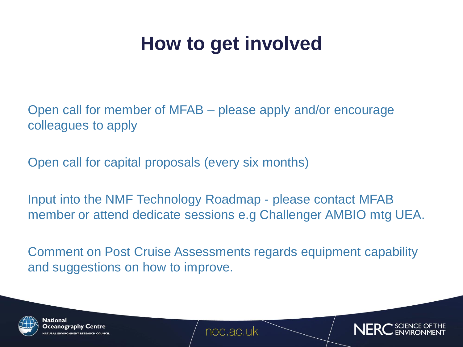### **How to get involved**

Open call for member of MFAB – please apply and/or encourage colleagues to apply

Open call for capital proposals (every six months)

Input into the NMF Technology Roadmap - please contact MFAB member or attend dedicate sessions e.g Challenger AMBIO mtg UEA.

Comment on Post Cruise Assessments regards equipment capability and suggestions on how to improve.



National Oceanography Centre **AL ENVIRONMENT RESEARCH COL**